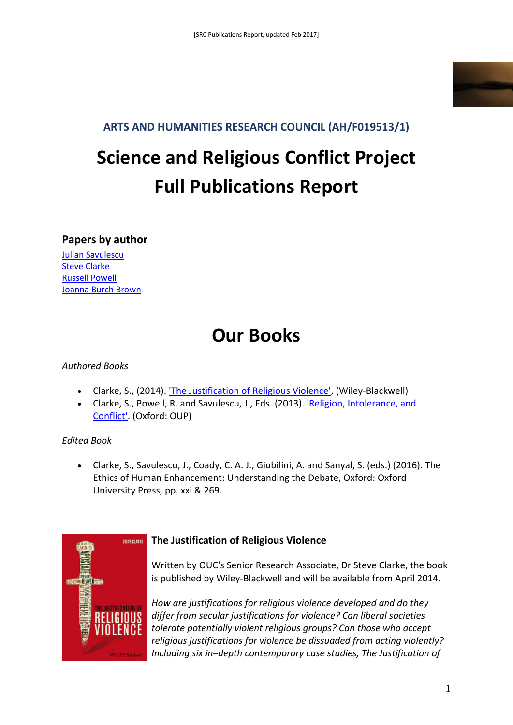

#### **ARTS AND HUMANITIES RESEARCH COUNCIL (AH/F019513/1)**

# **Science and Religious Conflict Project Full Publications Report**

#### **Papers by author**

[Julian Savulescu](#page-2-0) [Steve Clarke](#page-6-0) [Russell Powell](#page-7-0) [Joanna Burch Brown](#page-8-0)

## **Our Books**

#### *Authored Books*

- Clarke, S., (2014). ['The Justification of Religious Violence',](http://eu.wiley.com/WileyCDA/WileyTitle/productCd-1118529758.html) (Wiley-Blackwell)
- Clarke, S., Powell, R. and Savulescu, J., Eds. (2013). ['Religion, Intolerance, and](http://ukcatalogue.oup.com/product/9780199640911.do)  [Conflict'.](http://ukcatalogue.oup.com/product/9780199640911.do) (Oxford: OUP)

#### *Edited Book*

• Clarke, S., Savulescu, J., Coady, C. A. J., Giubilini, A. and Sanyal, S. (eds.) (2016). The Ethics of Human Enhancement: Understanding the Debate, Oxford: Oxford University Press, pp. xxi & 269.



#### **The Justification of Religious Violence**

Written by OUC's Senior Research Associate, Dr Steve Clarke, the book is published by Wiley-Blackwell and will be available from April 2014.

*How are justifications for religious violence developed and do they differ from secular justifications for violence? Can liberal societies tolerate potentially violent religious groups? Can those who accept religious justifications for violence be dissuaded from acting violently? Including six in–depth contemporary case studies, The Justification of*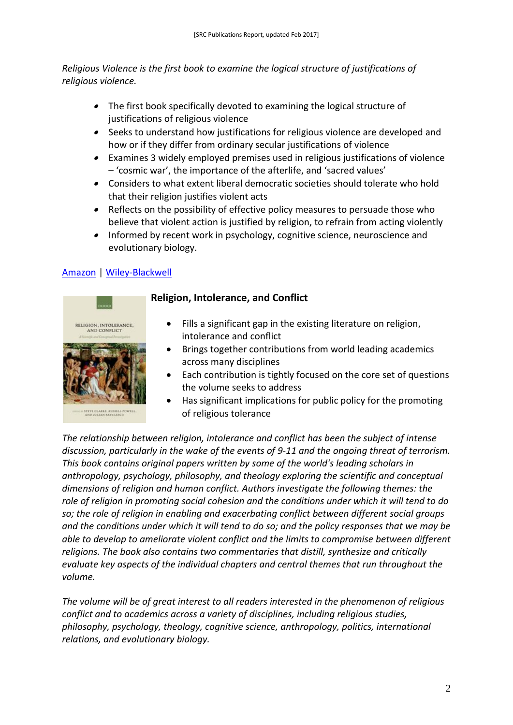*Religious Violence is the first book to examine the logical structure of justifications of religious violence.* 

- The first book specifically devoted to examining the logical structure of justifications of religious violence
- Seeks to understand how justifications for religious violence are developed and how or if they differ from ordinary secular justifications of violence
- • Examines 3 widely employed premises used in religious justifications of violence – 'cosmic war', the importance of the afterlife, and 'sacred values'
- Considers to what extent liberal democratic societies should tolerate who hold that their religion justifies violent acts
- • Reflects on the possibility of effective policy measures to persuade those who believe that violent action is justified by religion, to refrain from acting violently
- • Informed by recent work in psychology, cognitive science, neuroscience and evolutionary biology.

#### [Amazon](http://www.amazon.co.uk/Justification-Religious-Violence-Blackwell-Philosophy/dp/1118529723/) | [Wiley-Blackwell](http://eu.wiley.com/WileyCDA/WileyTitle/productCd-1118529723.html)



#### **Religion, Intolerance, and Conflict**

- Fills a significant gap in the existing literature on religion, intolerance and conflict
- Brings together contributions from world leading academics across many disciplines
- Each contribution is tightly focused on the core set of questions the volume seeks to address
- Has significant implications for public policy for the promoting of religious tolerance

*The relationship between religion, intolerance and conflict has been the subject of intense discussion, particularly in the wake of the events of 9-11 and the ongoing threat of terrorism. This book contains original papers written by some of the world's leading scholars in anthropology, psychology, philosophy, and theology exploring the scientific and conceptual dimensions of religion and human conflict. Authors investigate the following themes: the role of religion in promoting social cohesion and the conditions under which it will tend to do so; the role of religion in enabling and exacerbating conflict between different social groups and the conditions under which it will tend to do so; and the policy responses that we may be able to develop to ameliorate violent conflict and the limits to compromise between different religions. The book also contains two commentaries that distill, synthesize and critically evaluate key aspects of the individual chapters and central themes that run throughout the volume.* 

*The volume will be of great interest to all readers interested in the phenomenon of religious conflict and to academics across a variety of disciplines, including religious studies, philosophy, psychology, theology, cognitive science, anthropology, politics, international relations, and evolutionary biology.*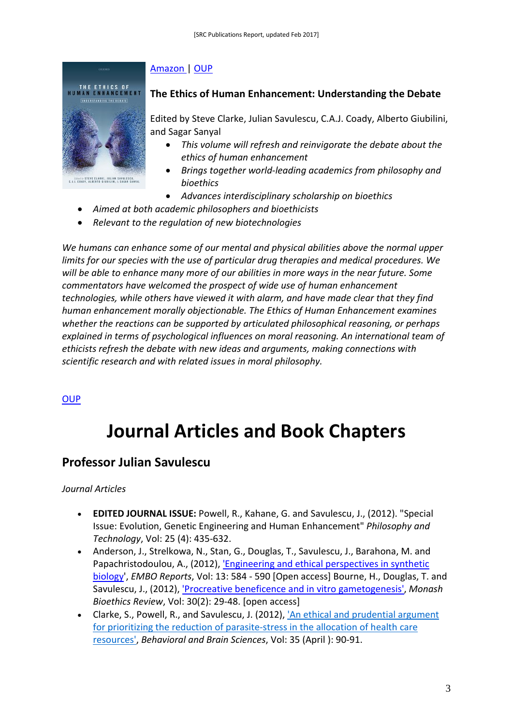#### [Amazon |](http://www.amazon.co.uk/Religion-Intolerance-Conflict-Scientific-Investigation/dp/0199640912/ref=sr_1_4?s=books&ie=UTF8&qid=1397569035&sr=1-4) [OUP](http://ukcatalogue.oup.com/product/9780199640911.do)



#### **The Ethics of Human Enhancement: Understanding the Debate**

Edited by Steve Clarke, Julian Savulescu, C.A.J. Coady, Alberto Giubilini, and Sagar Sanyal

- *This volume will refresh and reinvigorate the debate about the ethics of human enhancement*
- *Brings together world-leading academics from philosophy and bioethics*
- *Advances interdisciplinary scholarship on bioethics*
- *Aimed at both academic philosophers and bioethicists*
- *Relevant to the regulation of new biotechnologies*

*We humans can enhance some of our mental and physical abilities above the normal upper limits for our species with the use of particular drug therapies and medical procedures. We will be able to enhance many more of our abilities in more ways in the near future. Some commentators have welcomed the prospect of wide use of human enhancement technologies, while others have viewed it with alarm, and have made clear that they find human enhancement morally objectionable. The Ethics of Human Enhancement examines whether the reactions can be supported by articulated philosophical reasoning, or perhaps explained in terms of psychological influences on moral reasoning. An international team of ethicists refresh the debate with new ideas and arguments, making connections with scientific research and with related issues in moral philosophy.*

#### **OUP**

## <span id="page-2-0"></span>**Journal Articles and Book Chapters**

#### **Professor Julian Savulescu**

#### *Journal Articles*

- **EDITED JOURNAL ISSUE:** Powell, R., Kahane, G. and Savulescu, J., (2012). "Special Issue: Evolution, Genetic Engineering and Human Enhancement" *Philosophy and Technology*, Vol: 25 (4): 435-632.
- Anderson, J., Strelkowa, N., Stan, G., Douglas, T., Savulescu, J., Barahona, M. and Papachristodoulou, A., (2012), ['Engineering and ethical perspectives in synthetic](http://www.nature.com/embor/journal/vaop/ncurrent/full/embor201281a.html)  [biology'](http://www.nature.com/embor/journal/vaop/ncurrent/full/embor201281a.html), *EMBO Reports*, Vol: 13: 584 - 590 [Open access] Bourne, H., Douglas, T. and Savulescu, J., (2012), ['Procreative beneficence and in vitro gametogenesis',](http://journals.publishing.monash.edu/ojs/index.php/mber/article/view/957/1136) *Monash Bioethics Review*, Vol: 30(2): 29-48. [open access]
- Clarke, S., Powell, R., and Savulescu, J. (2012), ['An ethical and prudential argument](http://journals.cambridge.org/action/displayAbstract?fromPage=online&aid=8503924&fulltextType=AC&fileId=S0140525X11001026)  [for prioritizing the reduction of parasite-stress in the allocation of health care](http://journals.cambridge.org/action/displayAbstract?fromPage=online&aid=8503924&fulltextType=AC&fileId=S0140525X11001026)  [resources',](http://journals.cambridge.org/action/displayAbstract?fromPage=online&aid=8503924&fulltextType=AC&fileId=S0140525X11001026) *Behavioral and Brain Sciences*, Vol: 35 (April ): 90-91.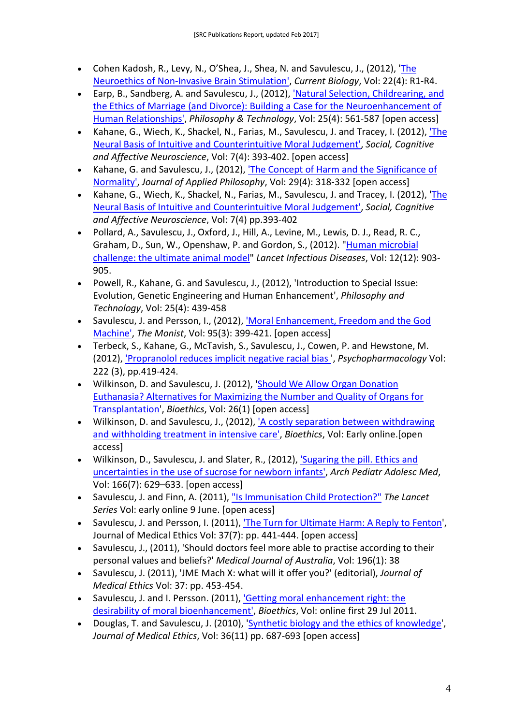- Cohen Kadosh, R., Levy, N., O'Shea, J., Shea, N. and Savulescu, J., (2012), ['The](http://www.sciencedirect.com/science/article/pii/S0960982212000140)  [Neuroethics of Non-Invasive Brain Stimulation',](http://www.sciencedirect.com/science/article/pii/S0960982212000140) *Current Biology*, Vol: 22(4): R1-R4.
- Earp, B., Sandberg, A. and Savulescu, J., (2012), ['Natural Selection, Childrearing, and](http://link.springer.com/article/10.1007/s13347-012-0081-8)  [the Ethics of Marriage \(and Divorce\): Building a Case for the Neuroenhancement of](http://link.springer.com/article/10.1007/s13347-012-0081-8)  [Human Relationships',](http://link.springer.com/article/10.1007/s13347-012-0081-8) *Philosophy & Technology*, Vol: 25(4): 561-587 [open access]
- Kahane, G., Wiech, K., Shackel, N., Farias, M., Savulescu, J. and Tracey, I. (2012), ['The](http://scan.oxfordjournals.org/content/early/2011/03/18/scan.nsr005.full)  [Neural Basis of Intuitive and Counterintuitive Moral Judgement',](http://scan.oxfordjournals.org/content/early/2011/03/18/scan.nsr005.full) *Social, Cognitive and Affective Neuroscience*, Vol: 7(4): 393-402. [open access]
- Kahane, G. and Savulescu, J., (2012), ['The Concept of Harm and the Significance of](http://onlinelibrary.wiley.com/doi/10.1111/j.1468-5930.2012.00574.x/abstract)  [Normality',](http://onlinelibrary.wiley.com/doi/10.1111/j.1468-5930.2012.00574.x/abstract) *Journal of Applied Philosophy*, Vol: 29(4): 318-332 [open access]
- Kahane, G., Wiech, K., Shackel, N., Farias, M., Savulescu, J. and Tracey, I. (2012), ['The](http://scan.oxfordjournals.org/content/early/2011/03/18/scan.nsr005.full)  [Neural Basis of Intuitive and Counterintuitive Moral Judgement',](http://scan.oxfordjournals.org/content/early/2011/03/18/scan.nsr005.full) *Social, Cognitive and Affective Neuroscience*, Vol: 7(4) pp.393-402
- Pollard, A., Savulescu, J., Oxford, J., Hill, A., Levine, M., Lewis, D. J., Read, R. C., Graham, D., Sun, W., Openshaw, P. and Gordon, S., (2012). ["Human microbial](http://www.thelancet.com/journals/laninf/article/PIIS1473-3099%2812%2970292-X/fulltext)  [challenge: the ultimate animal model"](http://www.thelancet.com/journals/laninf/article/PIIS1473-3099%2812%2970292-X/fulltext) *Lancet Infectious Diseases*, Vol: 12(12): 903- 905.
- Powell, R., Kahane, G. and Savulescu, J., (2012), 'Introduction to Special Issue: Evolution, Genetic Engineering and Human Enhancement', *Philosophy and Technology*, Vol: 25(4): 439-458
- Savulescu, J. and Persson, I., (2012), ['Moral Enhancement, Freedom and the God](http://ukpmc.ac.uk/articles/PMC3431130/)  [Machine',](http://ukpmc.ac.uk/articles/PMC3431130/) *The Monist*, Vol: 95(3): 399-421. [open access]
- Terbeck, S., Kahane, G., McTavish, S., Savulescu, J., Cowen, P. and Hewstone, M. (2012), ['Propranolol reduces implicit negative racial bias '](http://www.springerlink.com/content/63v2561264075373/), *Psychopharmacology* Vol: 222 (3), pp.419-424.
- Wilkinson, D. and Savulescu, J. (2012), ['Should We Allow Organ Donation](http://onlinelibrary.wiley.com/doi/10.1111/j.1467-8519.2010.01811.x/pdf)  [Euthanasia? Alternatives for Maximizing the Number and Quality of Organs for](http://onlinelibrary.wiley.com/doi/10.1111/j.1467-8519.2010.01811.x/pdf)  [Transplantation'](http://onlinelibrary.wiley.com/doi/10.1111/j.1467-8519.2010.01811.x/pdf), *Bioethics*, Vol: 26(1) [open access]
- Wilkinson, D. and Savulescu, J., (2012), ['A costly separation between withdrawing](http://onlinelibrary.wiley.com/doi/10.1111/j.1467-8519.2012.01981.x/abstract;jsessionid=08AA635CA16E578607E62118E51FEB6B.d02t04)  [and withholding treatment in intensive care',](http://onlinelibrary.wiley.com/doi/10.1111/j.1467-8519.2012.01981.x/abstract;jsessionid=08AA635CA16E578607E62118E51FEB6B.d02t04) *Bioethics*, Vol: Early online.[open access]
- Wilkinson, D., Savulescu, J. and Slater, R., (2012), ['Sugaring the pill. Ethics and](http://europepmc.org/articles/PMC3430849)  [uncertainties in the use of sucrose for newborn infants',](http://europepmc.org/articles/PMC3430849) *Arch Pediatr Adolesc Med*, Vol: 166(7): 629–633. [open access]
- Savulescu, J. and Finn, A. (2011)[, "Is Immunisation Child Protection?"](http://www.thelancet.com/series/new-decade-of-vaccines) *The Lancet Series* Vol: early online 9 June. [open acess]
- Savulescu, J. and Persson, I. (2011), ['The Turn for Ultimate Harm: A Reply to Fenton'](http://ukpmc.ac.uk/articles/PMC3233525), Journal of Medical Ethics Vol: 37(7): pp. 441-444. [open access]
- Savulescu, J., (2011), 'Should doctors feel more able to practise according to their personal values and beliefs?' *Medical Journal of Australia*, Vol: 196(1): 38
- Savulescu, J. (2011), 'JME Mach X: what will it offer you?' (editorial), *Journal of Medical Ethics* Vol: 37: pp. 453-454.
- Savulescu, J. and I. Persson. (2011), ['Getting moral enhancement right: the](http://onlinelibrary.wiley.com/doi/10.1111/j.1467-8519.2011.01907.x/full)  [desirability of moral bioenhancement',](http://onlinelibrary.wiley.com/doi/10.1111/j.1467-8519.2011.01907.x/full) *Bioethics*, Vol: online first 29 Jul 2011.
- Douglas, T. and Savulescu, J. (2010), ['Synthetic biology and the ethics of knowledge'](http://jme.bmj.com/content/early/2010/10/08/jme.2010.038232.full), *Journal of Medical Ethics*, Vol: 36(11) pp. 687-693 [open access]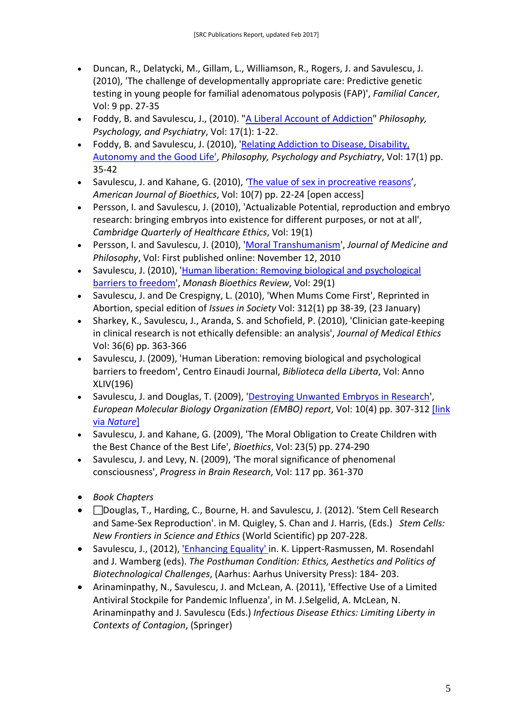- Duncan, R., Delatycki, M., Gillam, L., Williamson, R., Rogers, J. and Savulescu, J. (2010), 'The challenge of developmentally appropriate care: Predictive genetic testing in young people for familial adenomatous polyposis (FAP)', *Familial Cancer*, Vol: 9 pp. 27-35
- Foddy, B. and Savulescu, J., (2010). ["A Liberal Account of Addiction"](http://europepmc.org/articles/PMC3959650) *Philosophy, Psychology, and Psychiatry*, Vol: 17(1): 1-22.
- Foddy, B. and Savulescu, J. (2010), ['Relating Addiction to Disease, Disability,](http://muse.jhu.edu/login?uri=/journals/philosophy_psychiatry_and_psychology/v017/17.1.foddy01.html)  [Autonomy and the Good Life',](http://muse.jhu.edu/login?uri=/journals/philosophy_psychiatry_and_psychology/v017/17.1.foddy01.html) *Philosophy, Psychology and Psychiatry*, Vol: 17(1) pp. 35-42
- Savulescu, J. and Kahane, G. (2010), ['The value of sex in procreative reasons'](http://www.informaworld.com/smpp/section?content=a923320988&fulltext=713240928), *American Journal of Bioethics*, Vol: 10(7) pp. 22-24 [open access]
- Persson, I. and Savulescu, J. (2010), 'Actualizable Potential, reproduction and embryo research: bringing embryos into existence for different purposes, or not at all', *Cambridge Quarterly of Healthcare Ethics*, Vol: 19(1)
- Persson, I. and Savulescu, J. (2010), ['Moral Transhumanism'](http://jmp.oxfordjournals.org/content/early/2010/11/12/jmp.jhq052.full), *Journal of Medicine and Philosophy*, Vol: First published online: November 12, 2010
- Savulescu, J. (2010), ['Human liberation: Removing biological and psychological](http://www.bep.ox.ac.uk/__data/assets/pdf_file/0003/17517/Savulescu_Human_Liberation_MBR.pdf)  [barriers to freedom'](http://www.bep.ox.ac.uk/__data/assets/pdf_file/0003/17517/Savulescu_Human_Liberation_MBR.pdf), *Monash Bioethics Review*, Vol: 29(1)
- Savulescu, J. and De Crespigny, L. (2010), 'When Mums Come First', Reprinted in Abortion, special edition of *Issues in Society* Vol: 312(1) pp 38-39, (23 January)
- Sharkey, K., Savulescu, J., Aranda, S. and Schofield, P. (2010), 'Clinician gate-keeping in clinical research is not ethically defensible: an analysis', *Journal of Medical Ethics*  Vol: 36(6) pp. 363-366
- Savulescu, J. (2009), 'Human Liberation: removing biological and psychological barriers to freedom', Centro Einaudi Journal, *Biblioteca della Liberta*, Vol: Anno XLIV(196)
- Savulescu, J. and Douglas, T. (2009), ['Destroying Unwanted Embryos in Research'](https://www.nature.com/embor/journal/v10/n4/full/embor200954.html), *European Molecular Biology Organization (EMBO) report*, Vol: 10(4) pp. 307-312 [\[link](http://www.nature.com/embor/journal/v10/n4/full/embor200954.html)  via *[Nature](http://www.nature.com/embor/journal/v10/n4/full/embor200954.html)*]
- Savulescu, J. and Kahane, G. (2009), 'The Moral Obligation to Create Children with the Best Chance of the Best Life', *Bioethics*, Vol: 23(5) pp. 274-290
- Savulescu, J. and Levy, N. (2009), 'The moral significance of phenomenal consciousness', *Progress in Brain Research*, Vol: 117 pp. 361-370
- *Book Chapters*
- Douglas, T., Harding, C., Bourne, H. and Savulescu, J. (2012). 'Stem Cell Research and Same-Sex Reproduction'. in M. Quigley, S. Chan and J. Harris, (Eds.) *Stem Cells: New Frontiers in Science and Ethics* (World Scientific) pp 207-228.
- Savulescu, J., (2012), *'Enhancing Equality'* in. K. Lippert-Rasmussen, M. Rosendahl and J. Wamberg (eds). *The Posthuman Condition: Ethics, Aesthetics and Politics of Biotechnological Challenges*, (Aarhus: Aarhus University Press): 184- 203.
- Arinaminpathy, N., Savulescu, J. and McLean, A. (2011), 'Effective Use of a Limited Antiviral Stockpile for Pandemic Influenza', in M. J.Selgelid, A. McLean, N. Arinaminpathy and J. Savulescu (Eds.) *Infectious Disease Ethics: Limiting Liberty in Contexts of Contagion*, (Springer)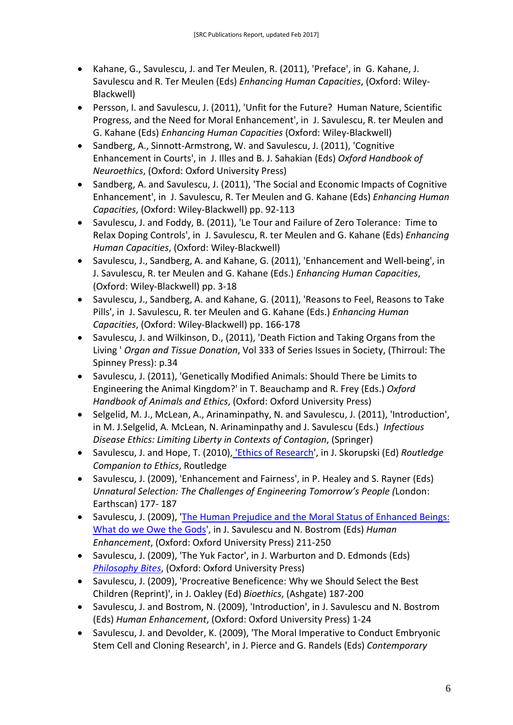- Kahane, G., Savulescu, J. and Ter Meulen, R. (2011), 'Preface', in G. Kahane, J. Savulescu and R. Ter Meulen (Eds) *Enhancing Human Capacities*, (Oxford: Wiley-Blackwell)
- Persson, I. and Savulescu, J. (2011), 'Unfit for the Future? Human Nature, Scientific Progress, and the Need for Moral Enhancement', in J. Savulescu, R. ter Meulen and G. Kahane (Eds) *Enhancing Human Capacities* (Oxford: Wiley-Blackwell)
- Sandberg, A., Sinnott-Armstrong, W. and Savulescu, J. (2011), 'Cognitive Enhancement in Courts', in J. Illes and B. J. Sahakian (Eds) *Oxford Handbook of Neuroethics*, (Oxford: Oxford University Press)
- Sandberg, A. and Savulescu, J. (2011), 'The Social and Economic Impacts of Cognitive Enhancement', in J. Savulescu, R. Ter Meulen and G. Kahane (Eds) *Enhancing Human Capacities*, (Oxford: Wiley-Blackwell) pp. 92-113
- Savulescu, J. and Foddy, B. (2011), 'Le Tour and Failure of Zero Tolerance: Time to Relax Doping Controls', in J. Savulescu, R. ter Meulen and G. Kahane (Eds) *Enhancing Human Capacities*, (Oxford: Wiley-Blackwell)
- Savulescu, J., Sandberg, A. and Kahane, G. (2011), 'Enhancement and Well-being', in J. Savulescu, R. ter Meulen and G. Kahane (Eds.) *Enhancing Human Capacities*, (Oxford: Wiley-Blackwell) pp. 3-18
- Savulescu, J., Sandberg, A. and Kahane, G. (2011), 'Reasons to Feel, Reasons to Take Pills', in J. Savulescu, R. ter Meulen and G. Kahane (Eds.) *Enhancing Human Capacities*, (Oxford: Wiley-Blackwell) pp. 166-178
- Savulescu, J. and Wilkinson, D., (2011), 'Death Fiction and Taking Organs from the Living ' *Organ and Tissue Donation*, Vol 333 of Series Issues in Society, (Thirroul: The Spinney Press): p.34
- Savulescu, J. (2011), 'Genetically Modified Animals: Should There be Limits to Engineering the Animal Kingdom?' in T. Beauchamp and R. Frey (Eds.) *Oxford Handbook of Animals and Ethics*, (Oxford: Oxford University Press)
- Selgelid, M. J., McLean, A., Arinaminpathy, N. and Savulescu, J. (2011), 'Introduction', in M. J.Selgelid, A. McLean, N. Arinaminpathy and J. Savulescu (Eds.) *Infectious Disease Ethics: Limiting Liberty in Contexts of Contagion*, (Springer)
- Savulescu, J. and Hope, T. (2010), ['Ethics of Research'](http://www.routledge.com/books/The-Routledge-Companion-to-Ethics-isbn9780415413626), in J. Skorupski (Ed) *Routledge Companion to Ethics*, Routledge
- Savulescu, J. (2009), 'Enhancement and Fairness', in P. Healey and S. Rayner (Eds) *Unnatural Selection: The Challenges of Engineering Tomorrow's People (*London: Earthscan) 177- 187
- Savulescu, J. (2009), ['The Human Prejudice and the Moral Status of Enhanced Beings:](http://ukcatalogue.oup.com/product/9780199299720.do?keyword=human+enhancement&sortby=bestMatches)  [What do we Owe the Gods'](http://ukcatalogue.oup.com/product/9780199299720.do?keyword=human+enhancement&sortby=bestMatches), in J. Savulescu and N. Bostrom (Eds) *Human Enhancement*, (Oxford: Oxford University Press) 211-250
- Savulescu, J. (2009), 'The Yuk Factor', in J. Warburton and D. Edmonds (Eds) *[Philosophy Bites](http://www.philosophybites.com/)*, (Oxford: Oxford University Press)
- Savulescu, J. (2009), 'Procreative Beneficence: Why we Should Select the Best Children (Reprint)', in J. Oakley (Ed) *Bioethics*, (Ashgate) 187-200
- Savulescu, J. and Bostrom, N. (2009), 'Introduction', in J. Savulescu and N. Bostrom (Eds) *Human Enhancement*, (Oxford: Oxford University Press) 1-24
- Savulescu, J. and Devolder, K. (2009), 'The Moral Imperative to Conduct Embryonic Stem Cell and Cloning Research', in J. Pierce and G. Randels (Eds) *Contemporary*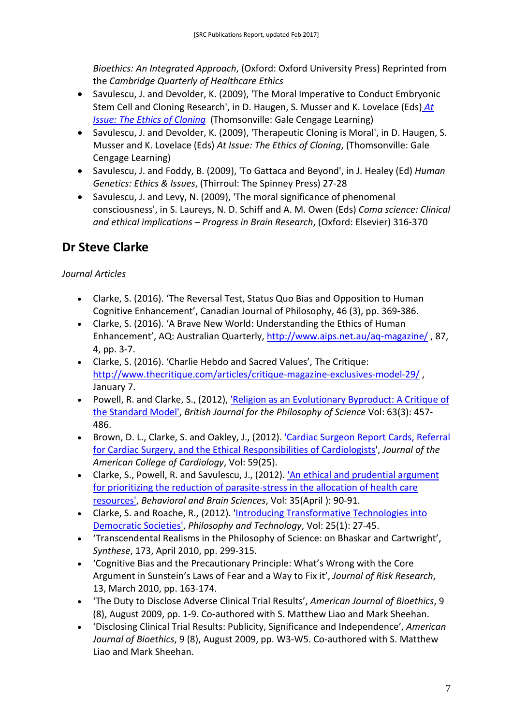*Bioethics: An Integrated Approach*, (Oxford: Oxford University Press) Reprinted from the *Cambridge Quarterly of Healthcare Ethics*

- Savulescu, J. and Devolder, K. (2009), 'The Moral Imperative to Conduct Embryonic Stem Cell and Cloning Research', in D. Haugen, S. Musser and K. Lovelace (Eds) *[At](http://www.books-by-isbn.com/0-7377/0737743115-The-Ethics-of-Cloning-At-Issue-Series-0-7377-4311-5.html)  [Issue: The Ethics of Cloning](http://www.books-by-isbn.com/0-7377/0737743115-The-Ethics-of-Cloning-At-Issue-Series-0-7377-4311-5.html)* (Thomsonville: Gale Cengage Learning)
- Savulescu, J. and Devolder, K. (2009), 'Therapeutic Cloning is Moral', in D. Haugen, S. Musser and K. Lovelace (Eds) *At Issue: The Ethics of Cloning*, (Thomsonville: Gale Cengage Learning)
- Savulescu, J. and Foddy, B. (2009), 'To Gattaca and Beyond', in J. Healey (Ed) *Human Genetics: Ethics & Issues*, (Thirroul: The Spinney Press) 27-28
- <span id="page-6-0"></span>• Savulescu, J. and Levy, N. (2009), 'The moral significance of phenomenal consciousness', in S. Laureys, N. D. Schiff and A. M. Owen (Eds) *Coma science: Clinical and ethical implications – Progress in Brain Research*, (Oxford: Elsevier) 316-370

## **Dr Steve Clarke**

*Journal Articles*

- Clarke, S. (2016). 'The Reversal Test, Status Quo Bias and Opposition to Human Cognitive Enhancement', Canadian Journal of Philosophy, 46 (3), pp. 369-386.
- Clarke, S. (2016). 'A Brave New World: Understanding the Ethics of Human Enhancement', AQ: Australian Quarterly,<http://www.aips.net.au/aq-magazine/> , 87, 4, pp. 3-7.
- Clarke, S. (2016). 'Charlie Hebdo and Sacred Values', The Critique: <http://www.thecritique.com/articles/critique-magazine-exclusives-model-29/> , January 7.
- Powell, R. and Clarke, S., (2012), *'Religion as an Evolutionary Byproduct: A Critique of* [the Standard Model',](http://bjps.oxfordjournals.org/content/63/3/457.full) *British Journal for the Philosophy of Science* Vol: 63(3): 457- 486.
- Brown, D. L., Clarke, S. and Oakley, J., (2012). 'Cardiac Surgeon Report Cards, Referral [for Cardiac Surgery, and the Ethical Responsibilities of Cardiologists'](http://content.onlinejacc.org/article.aspx?articleID=1208657), *Journal of the American College of Cardiology*, Vol: 59(25).
- Clarke, S., Powell, R. and Savulescu, J., (2012). ['An ethical and prudential argument](http://journals.cambridge.org/action/displayAbstract?fromPage=online&aid=8503924&fulltextType=AC&fileId=S0140525X11001026)  [for prioritizing the reduction of parasite-stress in the allocation of health care](http://journals.cambridge.org/action/displayAbstract?fromPage=online&aid=8503924&fulltextType=AC&fileId=S0140525X11001026)  [resources',](http://journals.cambridge.org/action/displayAbstract?fromPage=online&aid=8503924&fulltextType=AC&fileId=S0140525X11001026) *Behavioral and Brain Sciences*, Vol: 35(April ): 90-91.
- Clarke, S. and Roache, R., (2012). ['Introducing Transformative Technologies into](http://www.springerlink.com/content/v612l11348763732/)  [Democratic Societies',](http://www.springerlink.com/content/v612l11348763732/) *Philosophy and Technology*, Vol: 25(1): 27-45.
- 'Transcendental Realisms in the Philosophy of Science: on Bhaskar and Cartwright', *Synthese*, 173, April 2010, pp. 299-315.
- 'Cognitive Bias and the Precautionary Principle: What's Wrong with the Core Argument in Sunstein's Laws of Fear and a Way to Fix it', *Journal of Risk Research*, 13, March 2010, pp. 163-174.
- 'The Duty to Disclose Adverse Clinical Trial Results', *American Journal of Bioethics*, 9 (8), August 2009, pp. 1-9. Co-authored with S. Matthew Liao and Mark Sheehan.
- 'Disclosing Clinical Trial Results: Publicity, Significance and Independence', *American Journal of Bioethics*, 9 (8), August 2009, pp. W3-W5. Co-authored with S. Matthew Liao and Mark Sheehan.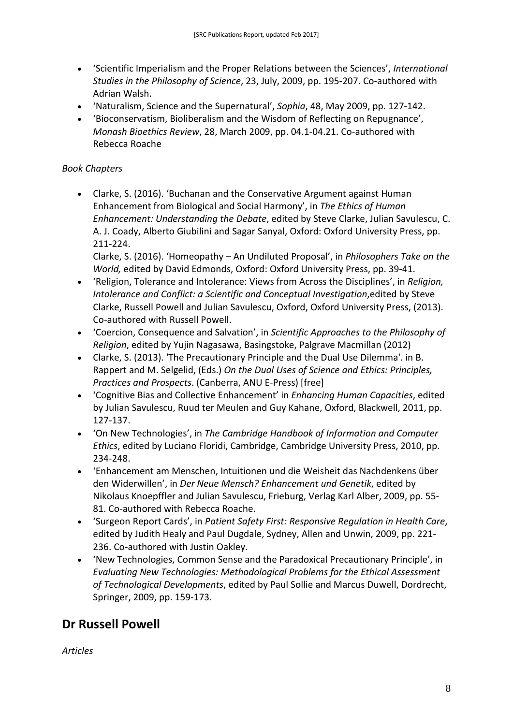- 'Scientific Imperialism and the Proper Relations between the Sciences', *International Studies in the Philosophy of Science*, 23, July, 2009, pp. 195-207. Co-authored with Adrian Walsh.
- 'Naturalism, Science and the Supernatural', *Sophia*, 48, May 2009, pp. 127-142.
- 'Bioconservatism, Bioliberalism and the Wisdom of Reflecting on Repugnance', *Monash Bioethics Review*, 28, March 2009, pp. 04.1-04.21. Co-authored with Rebecca Roache

#### *Book Chapters*

• Clarke, S. (2016). 'Buchanan and the Conservative Argument against Human Enhancement from Biological and Social Harmony', in *The Ethics of Human Enhancement: Understanding the Debate*, edited by Steve Clarke, Julian Savulescu, C. A. J. Coady, Alberto Giubilini and Sagar Sanyal, Oxford: Oxford University Press, pp. 211-224.

Clarke, S. (2016). 'Homeopathy – An Undiluted Proposal', in *Philosophers Take on the World,* edited by David Edmonds, Oxford: Oxford University Press, pp. 39-41.

- 'Religion, Tolerance and Intolerance: Views from Across the Disciplines', in *Religion, Intolerance and Conflict: a Scientific and Conceptual Investigation, edited by Steve* Clarke, Russell Powell and Julian Savulescu, Oxford, Oxford University Press, (2013). Co-authored with Russell Powell.
- 'Coercion, Consequence and Salvation', in *Scientific Approaches to the Philosophy of Religion*, edited by Yujin Nagasawa, Basingstoke, Palgrave Macmillan (2012)
- Clarke, S. (2013). 'The Precautionary Principle and the Dual Use Dilemma'. in B. Rappert and M. Selgelid, (Eds.) *On the Dual Uses of Science and Ethics: Principles, Practices and Prospects*. (Canberra, ANU E-Press) [free]
- 'Cognitive Bias and Collective Enhancement' in *Enhancing Human Capacities*, edited by Julian Savulescu, Ruud ter Meulen and Guy Kahane, Oxford, Blackwell, 2011, pp. 127-137.
- 'On New Technologies', in *The Cambridge Handbook of Information and Computer Ethics*, edited by Luciano Floridi, Cambridge, Cambridge University Press, 2010, pp. 234-248.
- 'Enhancement am Menschen, Intuitionen und die Weisheit das Nachdenkens über den Widerwillen', in *Der Neue Mensch? Enhancement und Genetik*, edited by Nikolaus Knoepffler and Julian Savulescu, Frieburg, Verlag Karl Alber, 2009, pp. 55- 81. Co-authored with Rebecca Roache.
- 'Surgeon Report Cards', in *Patient Safety First: Responsive Regulation in Health Care*, edited by Judith Healy and Paul Dugdale, Sydney, Allen and Unwin, 2009, pp. 221- 236. Co-authored with Justin Oakley.
- 'New Technologies, Common Sense and the Paradoxical Precautionary Principle', in *Evaluating New Technologies: Methodological Problems for the Ethical Assessment of Technological Developments*, edited by Paul Sollie and Marcus Duwell, Dordrecht, Springer, 2009, pp. 159-173.

### <span id="page-7-0"></span>**Dr Russell Powell**

*Articles*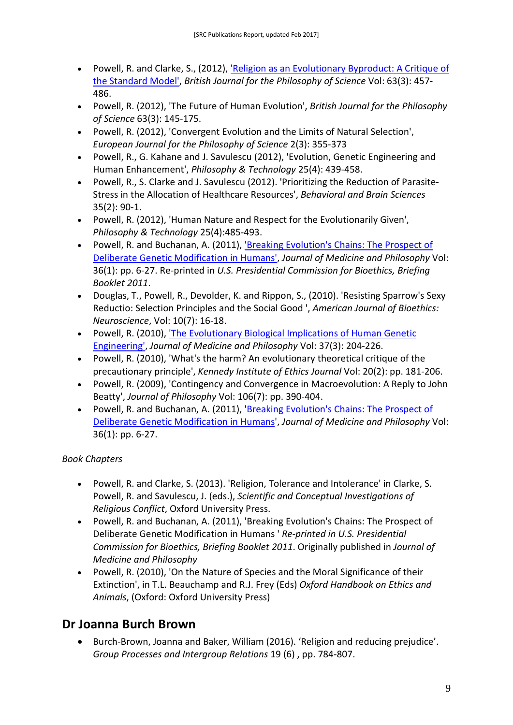- Powell, R. and Clarke, S., (2012), ['Religion as an Evolutionary Byproduct: A Critique of](http://bjps.oxfordjournals.org/content/63/3/457.full)  [the Standard Model',](http://bjps.oxfordjournals.org/content/63/3/457.full) *British Journal for the Philosophy of Science* Vol: 63(3): 457- 486.
- Powell, R. (2012), 'The Future of Human Evolution', *British Journal for the Philosophy of Science* 63(3): 145-175.
- Powell, R. (2012), 'Convergent Evolution and the Limits of Natural Selection', *European Journal for the Philosophy of Science* 2(3): 355-373
- Powell, R., G. Kahane and J. Savulescu (2012), 'Evolution, Genetic Engineering and Human Enhancement', *Philosophy & Technology* 25(4): 439-458.
- Powell, R., S. Clarke and J. Savulescu (2012). 'Prioritizing the Reduction of Parasite-Stress in the Allocation of Healthcare Resources', *Behavioral and Brain Sciences*  35(2): 90-1.
- Powell, R. (2012), 'Human Nature and Respect for the Evolutionarily Given', *Philosophy & Technology* 25(4):485-493.
- Powell, R. and Buchanan, A. (2011)[, 'Breaking Evolution's Chains: The Prospect of](http://jmp.oxfordjournals.org/content/36/1/6.full)  [Deliberate Genetic Modification in Humans',](http://jmp.oxfordjournals.org/content/36/1/6.full) *Journal of Medicine and Philosophy* Vol: 36(1): pp. 6-27. Re-printed in *U.S. Presidential Commission for Bioethics, Briefing Booklet 2011*.
- Douglas, T., Powell, R., Devolder, K. and Rippon, S., (2010). 'Resisting Sparrow's Sexy Reductio: Selection Principles and the Social Good ', *American Journal of Bioethics: Neuroscience*, Vol: 10(7): 16-18.
- Powell, R. (2010), 'The Evolutionary Biological Implications of Human Genetic [Engineering',](http://jmp.oxfordjournals.org/cgi/reprint/jhq004) *Journal of Medicine and Philosophy* Vol: 37(3): 204-226.
- Powell, R. (2010), 'What's the harm? An evolutionary theoretical critique of the precautionary principle', *Kennedy Institute of Ethics Journal* Vol: 20(2): pp. 181-206.
- Powell, R. (2009), 'Contingency and Convergence in Macroevolution: A Reply to John Beatty', *Journal of Philosophy* Vol: 106(7): pp. 390-404.
- Powell, R. and Buchanan, A. (2011), ['Breaking Evolution's Chains: The Prospect of](http://jmp.oxfordjournals.org/content/36/1/6.full)  [Deliberate Genetic Modification in Humans'](http://jmp.oxfordjournals.org/content/36/1/6.full), *Journal of Medicine and Philosophy* Vol: 36(1): pp. 6-27.

#### *Book Chapters*

- Powell, R. and Clarke, S. (2013). 'Religion, Tolerance and Intolerance' in Clarke, S. Powell, R. and Savulescu, J. (eds.), *Scientific and Conceptual Investigations of Religious Conflict*, Oxford University Press.
- Powell, R. and Buchanan, A. (2011), 'Breaking Evolution's Chains: The Prospect of Deliberate Genetic Modification in Humans ' *Re-printed in U.S. Presidential Commission for Bioethics, Briefing Booklet 2011*. Originally published in *Journal of Medicine and Philosophy*
- Powell, R. (2010), 'On the Nature of Species and the Moral Significance of their Extinction', in T.L. Beauchamp and R.J. Frey (Eds) *Oxford Handbook on Ethics and Animals*, (Oxford: Oxford University Press)

### **Dr Joanna Burch Brown**

<span id="page-8-0"></span>• Burch-Brown, Joanna and Baker, William (2016). 'Religion and reducing prejudice'. *Group Processes and Intergroup Relations* 19 (6) , pp. 784-807.